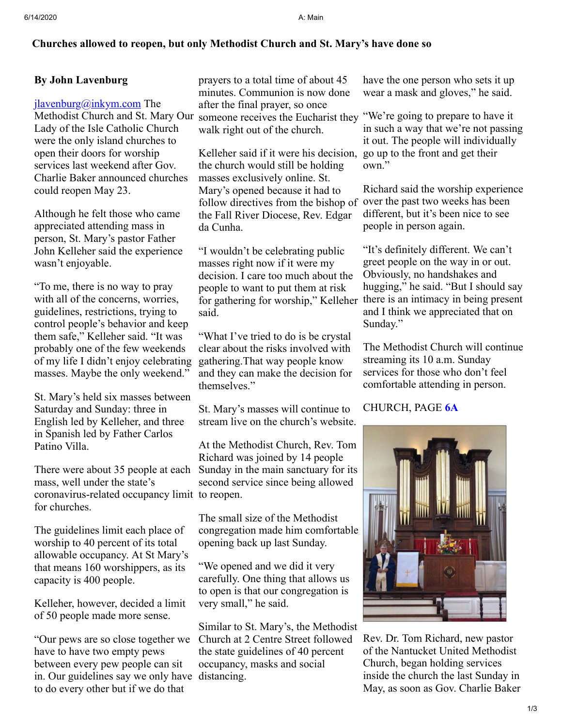## **Churches allowed to reopen, but only Methodist Church and St. Mary's have done so**

## **By John Lavenburg**

 $jlavenburg@inkym.com$  The Methodist Church and St. Mary Our Lady of the Isle Catholic Church were the only island churches to open their doors for worship services last weekend after Gov. Charlie Baker announced churches could reopen May 23.

Although he felt those who came appreciated attending mass in person, St. Mary's pastor Father John Kelleher said the experience wasn't enjoyable.

"To me, there is no way to pray with all of the concerns, worries, guidelines, restrictions, trying to control people's behavior and keep them safe," Kelleher said. "It was probably one of the few weekends of my life I didn't enjoy celebrating masses. Maybe the only weekend."

St. Mary's held six masses between Saturday and Sunday: three in English led by Kelleher, and three in Spanish led by Father Carlos Patino Villa.

mass, well under the state's coronavirus-related occupancy limit to reopen. for churches.

The guidelines limit each place of worship to 40 percent of its total allowable occupancy. At St Mary's that means 160 worshippers, as its capacity is 400 people.

Kelleher, however, decided a limit of 50 people made more sense.

"Our pews are so close together we have to have two empty pews between every pew people can sit in. Our guidelines say we only have distancing. to do every other but if we do that

prayers to a total time of about 45 minutes. Communion is now done after the final prayer, so once someone receives the Eucharist they "We're going to prepare to have it walk right out of the church.

Kelleher said if it were his decision, go up to the front and get their the church would still be holding masses exclusively online. St. Mary's opened because it had to follow directives from the bishop of over the past two weeks has been the Fall River Diocese, Rev. Edgar da Cunha.

"I wouldn't be celebrating public masses right now if it were my decision. I care too much about the people to want to put them at risk said.

"What I've tried to do is be crystal clear about the risks involved with gathering.That way people know and they can make the decision for themselves."

St. Mary's masses will continue to stream live on the church's website.

There were about 35 people at each Sunday in the main sanctuary for its At the Methodist Church, Rev. Tom Richard was joined by 14 people second service since being allowed

> The small size of the Methodist congregation made him comfortable opening back up last Sunday.

"We opened and we did it very carefully. One thing that allows us to open is that our congregation is very small," he said.

Similar to St. Mary's, the Methodist Church at 2 Centre Street followed the state guidelines of 40 percent occupancy, masks and social

have the one person who sets it up wear a mask and gloves," he said.

in such a way that we're not passing it out. The people will individually own."

Richard said the worship experience different, but it's been nice to see people in person again.

for gathering for worship," Kelleher there is an intimacy in being present "It's definitely different. We can't greet people on the way in or out. Obviously, no handshakes and hugging," he said. "But I should say and I think we appreciated that on Sunday."

> The Methodist Church will continue streaming its 10 a.m. Sunday services for those who don't feel comfortable attending in person.

## CHURCH, PAGE **[6A](javascript:gotoPage("A","A06");)**



Rev. Dr. Tom Richard, new pastor of the Nantucket United Methodist Church, began holding services inside the church the last Sunday in May, as soon as Gov. Charlie Baker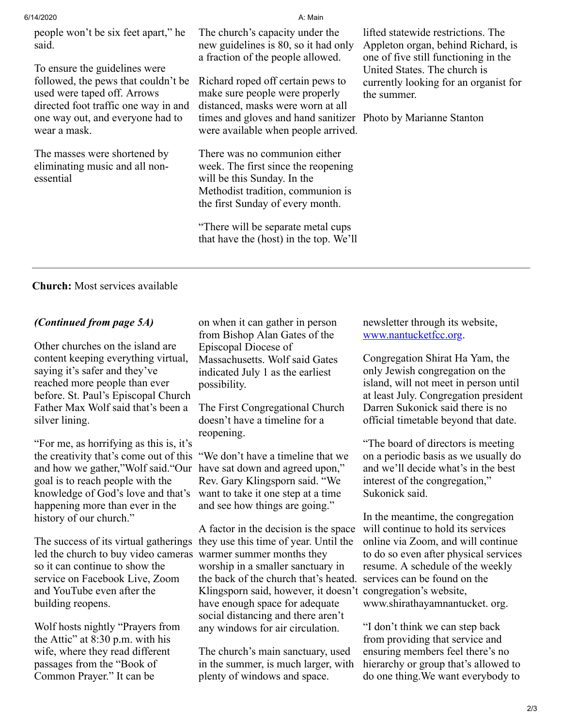| 6/14/2020                                                                                                                                                                                                                                       | A: Main                                                                                                                                                                                                                                                                                                |                                                                                                                                                                                                                                       |
|-------------------------------------------------------------------------------------------------------------------------------------------------------------------------------------------------------------------------------------------------|--------------------------------------------------------------------------------------------------------------------------------------------------------------------------------------------------------------------------------------------------------------------------------------------------------|---------------------------------------------------------------------------------------------------------------------------------------------------------------------------------------------------------------------------------------|
| people won't be six feet apart," he<br>said.<br>To ensure the guidelines were<br>followed, the pews that couldn't be<br>used were taped off. Arrows<br>directed foot traffic one way in and<br>one way out, and everyone had to<br>wear a mask. | The church's capacity under the<br>new guidelines is 80, so it had only<br>a fraction of the people allowed.<br>Richard roped off certain pews to<br>make sure people were properly<br>distanced, masks were worn at all<br>times and gloves and hand sanitizer<br>were available when people arrived. | lifted statewide restrictions. The<br>Appleton organ, behind Richard, is<br>one of five still functioning in the<br>United States. The church is<br>currently looking for an organist for<br>the summer.<br>Photo by Marianne Stanton |
| The masses were shortened by<br>eliminating music and all non-<br>essential                                                                                                                                                                     | There was no communion either<br>week. The first since the reopening<br>will be this Sunday. In the<br>Methodist tradition, communion is<br>the first Sunday of every month.                                                                                                                           |                                                                                                                                                                                                                                       |

"There will be separate metal cups that have the (host) in the top. We'll

**Church:** Most services available

## *(Continued from page 5A)*

Other churches on the island are content keeping everything virtual, saying it's safer and they've reached more people than ever before. St. Paul's Episcopal Church Father Max Wolf said that's been a silver lining.

"For me, as horrifying as this is, it's the creativity that's come out of this "We don't have a timeline that we and how we gather,"Wolf said."Our have sat down and agreed upon," goal is to reach people with the knowledge of God's love and that's happening more than ever in the history of our church."

The success of its virtual gatherings they use this time of year. Until the led the church to buy video cameras so it can continue to show the service on Facebook Live, Zoom and YouTube even after the building reopens.

Wolf hosts nightly "Prayers from the Attic" at 8:30 p.m. with his wife, where they read different passages from the "Book of Common Prayer." It can be

on when it can gather in person from Bishop Alan Gates of the Episcopal Diocese of Massachusetts. Wolf said Gates indicated July 1 as the earliest possibility.

The First Congregational Church doesn't have a timeline for a reopening.

Rev. Gary Klingsporn said. "We want to take it one step at a time and see how things are going."

A factor in the decision is the space warmer summer months they worship in a smaller sanctuary in the back of the church that's heated. services can be found on the Klingsporn said, however, it doesn't congregation's website, have enough space for adequate social distancing and there aren't any windows for air circulation.

The church's main sanctuary, used in the summer, is much larger, with plenty of windows and space.

newsletter through its website, [www.nantucketfcc.org.](javascript:pl_openIFrame()

Congregation Shirat Ha Yam, the only Jewish congregation on the island, will not meet in person until at least July. Congregation president Darren Sukonick said there is no official timetable beyond that date.

"The board of directors is meeting on a periodic basis as we usually do and we'll decide what's in the best interest of the congregation," Sukonick said.

In the meantime, the congregation will continue to hold its services online via Zoom, and will continue to do so even after physical services resume. A schedule of the weekly www.shirathayamnantucket. org.

"I don't think we can step back from providing that service and ensuring members feel there's no hierarchy or group that's allowed to do one thing.We want everybody to